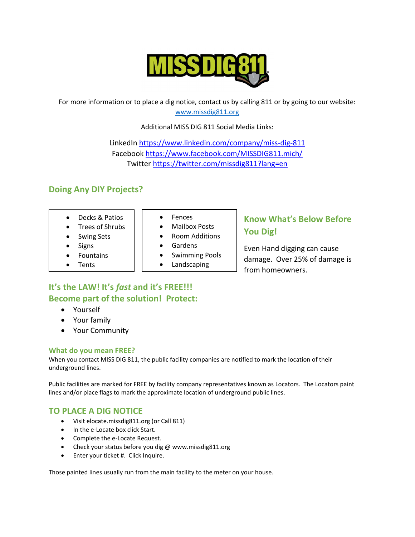

For more information or to place a dig notice, contact us by calling 811 or by going to our website: www.missdig811.org

Additional MISS DIG 811 Social Media Links:

LinkedIn https://www.linkedin.com/company/miss-dig-811 Facebook https://www.facebook.com/MISSDIG811.mich/ Twitter https://twitter.com/missdig811?lang=en

# Doing Any DIY Projects?

- Decks & Patios
- Trees of Shrubs
- Swing Sets
- Signs
- Fountains
- Tents
- Fences
- Mailbox Posts
	- Room Additions
- Gardens
- Swimming Pools
- **•** Landscaping

## It's the LAW! It's fast and it's FREE!!! Become part of the solution! Protect:

- Yourself
- Your family
- Your Community

#### What do you mean FREE?

When you contact MISS DIG 811, the public facility companies are notified to mark the location of their underground lines.

Public facilities are marked for FREE by facility company representatives known as Locators. The Locators paint lines and/or place flags to mark the approximate location of underground public lines.

### TO PLACE A DIG NOTICE

- Visit elocate.missdig811.org (or Call 811)
- In the e-Locate box click Start.
- Complete the e-Locate Request.
- Check your status before you dig @ www.missdig811.org
- Enter your ticket #. Click Inquire.

Those painted lines usually run from the main facility to the meter on your house.

# Know What's Below Before You Dig!

Even Hand digging can cause damage. Over 25% of damage is from homeowners.